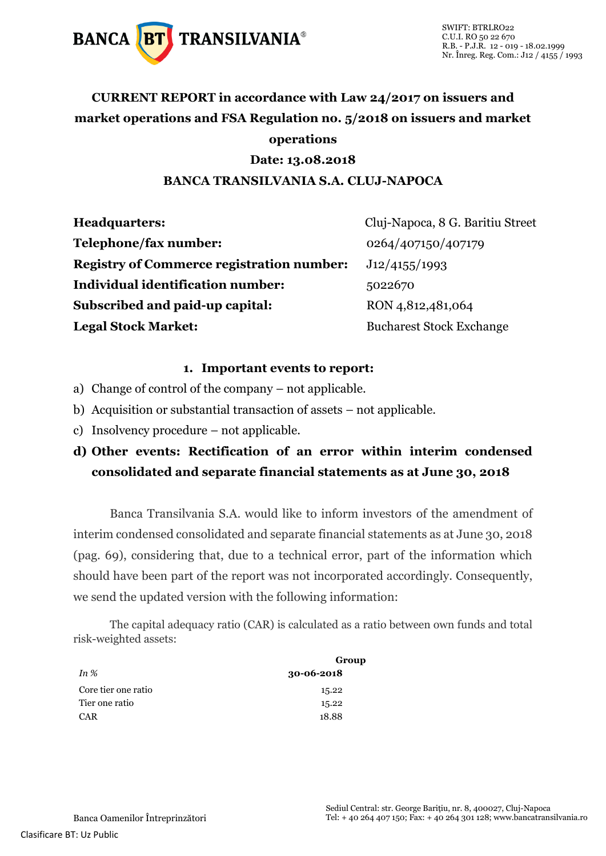

## **CURRENT REPORT in accordance with Law 24/2017 on issuers and market operations and FSA Regulation no. 5/2018 on issuers and market operations**

#### **Date: 13.08.2018**

#### **BANCA TRANSILVANIA S.A. CLUJ-NAPOCA**

| <b>Headquarters:</b>                             | Cluj-Napoca, 8 G. Baritiu Street |
|--------------------------------------------------|----------------------------------|
| Telephone/fax number:                            | 0264/407150/407179               |
| <b>Registry of Commerce registration number:</b> | J12/4155/1993                    |
| Individual identification number:                | 5022670                          |
| Subscribed and paid-up capital:                  | RON 4,812,481,064                |
| <b>Legal Stock Market:</b>                       | <b>Bucharest Stock Exchange</b>  |

#### **1. Important events to report:**

- a) Change of control of the company not applicable.
- b) Acquisition or substantial transaction of assets not applicable.
- c) Insolvency procedure not applicable.

### **d) Other events: Rectification of an error within interim condensed consolidated and separate financial statements as at June 30, 2018**

Banca Transilvania S.A. would like to inform investors of the amendment of interim condensed consolidated and separate financial statements as at June 30, 2018 (pag. 69), considering that, due to a technical error, part of the information which should have been part of the report was not incorporated accordingly. Consequently, we send the updated version with the following information:

The capital adequacy ratio (CAR) is calculated as a ratio between own funds and total risk-weighted assets:

|                     | Group            |  |
|---------------------|------------------|--|
| In $%$              | $30 - 06 - 2018$ |  |
| Core tier one ratio | 15.22            |  |
| Tier one ratio      | 15.22            |  |
| CAR                 | 18.88            |  |